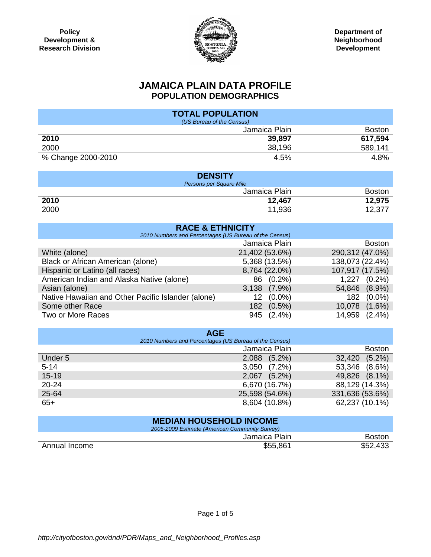

## **JAMAICA PLAIN DATA PROFILE POPULATION DEMOGRAPHICS**

| <b>TOTAL POPULATION</b>                                |                 |                     |  |  |  |
|--------------------------------------------------------|-----------------|---------------------|--|--|--|
| (US Bureau of the Census)                              |                 |                     |  |  |  |
|                                                        | Jamaica Plain   | <b>Boston</b>       |  |  |  |
| 2010                                                   | 39,897          | 617,594             |  |  |  |
| 2000                                                   | 38,196          | 589,141             |  |  |  |
| % Change 2000-2010                                     | 4.5%            | 4.8%                |  |  |  |
|                                                        |                 |                     |  |  |  |
| <b>DENSITY</b>                                         |                 |                     |  |  |  |
| Persons per Square Mile                                |                 |                     |  |  |  |
|                                                        | Jamaica Plain   | <b>Boston</b>       |  |  |  |
| 2010                                                   | 12,467          | 12,975              |  |  |  |
| 2000                                                   | 11,936          | 12,377              |  |  |  |
|                                                        |                 |                     |  |  |  |
| <b>RACE &amp; ETHNICITY</b>                            |                 |                     |  |  |  |
| 2010 Numbers and Percentages (US Bureau of the Census) |                 |                     |  |  |  |
|                                                        | Jamaica Plain   | <b>Boston</b>       |  |  |  |
| White (alone)                                          | 21,402 (53.6%)  | 290,312 (47.0%)     |  |  |  |
| Black or African American (alone)                      | 5,368 (13.5%)   | 138,073 (22.4%)     |  |  |  |
| Hispanic or Latino (all races)                         | 8,764 (22.0%)   | 107,917 (17.5%)     |  |  |  |
| American Indian and Alaska Native (alone)              | $(0.2\%)$<br>86 | 1,227 (0.2%)        |  |  |  |
| Asian (alone)                                          | 3,138 (7.9%)    | 54,846 (8.9%)       |  |  |  |
| Native Hawaiian and Other Pacific Islander (alone)     | 12 (0.0%)       | 182 (0.0%)          |  |  |  |
| Some other Race                                        | 182 (0.5%)      | 10,078 (1.6%)       |  |  |  |
| <b>Two or More Races</b>                               | 945 (2.4%)      | 14,959<br>$(2.4\%)$ |  |  |  |
|                                                        |                 |                     |  |  |  |
| <b>AGE</b>                                             |                 |                     |  |  |  |
| 2010 Numbers and Percentages (US Bureau of the Census) |                 |                     |  |  |  |
|                                                        | Jamaica Plain   | <b>Boston</b>       |  |  |  |
| Under 5                                                | 2,088 (5.2%)    | 32,420<br>$(5.2\%)$ |  |  |  |
| $5 - 14$                                               | 3,050 (7.2%)    | 53,346<br>$(8.6\%)$ |  |  |  |
| $15 - 19$                                              | 2,067 (5.2%)    | 49,826 (8.1%)       |  |  |  |
| $20 - 24$                                              | 6,670 (16.7%)   | 88,129 (14.3%)      |  |  |  |
| 25-64                                                  | 25,598 (54.6%)  | 331,636 (53.6%)     |  |  |  |
| $65+$                                                  | 8,604 (10.8%)   | 62,237 (10.1%)      |  |  |  |
|                                                        |                 |                     |  |  |  |
| <b>MEDIAN HOUSEHOLD INCOME</b>                         |                 |                     |  |  |  |
| 2005-2009 Estimate (American Community Survey)         |                 |                     |  |  |  |
|                                                        | Jamaica Plain   | <b>Boston</b>       |  |  |  |
| Annual Income                                          | \$55,861        | \$52,433            |  |  |  |

Annual Income \$55,861

Page 1 of 5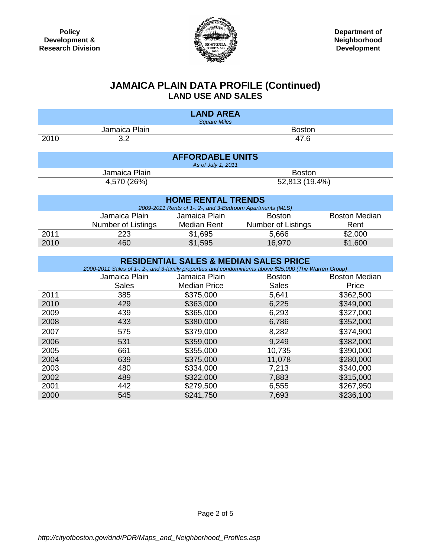

## **JAMAICA PLAIN DATA PROFILE (Continued) LAND USE AND SALES**

| <b>LAND AREA</b><br><b>Square Miles</b> |                                                                                                                                                                                  |                                                                                        |                                                   |                      |  |
|-----------------------------------------|----------------------------------------------------------------------------------------------------------------------------------------------------------------------------------|----------------------------------------------------------------------------------------|---------------------------------------------------|----------------------|--|
|                                         | Jamaica Plain                                                                                                                                                                    |                                                                                        | <b>Boston</b>                                     |                      |  |
| 2010                                    | 3.2                                                                                                                                                                              | 47.6                                                                                   |                                                   |                      |  |
|                                         |                                                                                                                                                                                  | <b>AFFORDABLE UNITS</b><br>As of July 1, 2011                                          |                                                   |                      |  |
|                                         | Jamaica Plain                                                                                                                                                                    |                                                                                        | <b>Boston</b>                                     |                      |  |
|                                         | 4,570 (26%)                                                                                                                                                                      |                                                                                        | 52,813 (19.4%)                                    |                      |  |
|                                         |                                                                                                                                                                                  | <b>HOME RENTAL TRENDS</b><br>2009-2011 Rents of 1-, 2-, and 3-Bedroom Apartments (MLS) |                                                   |                      |  |
|                                         | Jamaica Plain                                                                                                                                                                    | Jamaica Plain                                                                          |                                                   | <b>Boston Median</b> |  |
|                                         | Number of Listings                                                                                                                                                               | <b>Median Rent</b>                                                                     | Number of Listings                                | Rent                 |  |
| 2011                                    | 223                                                                                                                                                                              | \$1,695                                                                                | 5,666                                             | \$2,000              |  |
| 2010                                    | 460                                                                                                                                                                              | \$1,595                                                                                | 16,970                                            | \$1,600              |  |
|                                         |                                                                                                                                                                                  |                                                                                        |                                                   |                      |  |
|                                         |                                                                                                                                                                                  |                                                                                        | <b>RESIDENTIAL SALES &amp; MEDIAN SALES PRICE</b> |                      |  |
|                                         | 2000-2011 Sales of 1-, 2-, and 3-family properties and condominiums above \$25,000 (The Warren Group)<br><b>Boston Median</b><br>Jamaica Plain<br>Jamaica Plain<br><b>Boston</b> |                                                                                        |                                                   |                      |  |
|                                         | Sales                                                                                                                                                                            | <b>Median Price</b>                                                                    | <b>Sales</b>                                      | Price                |  |
| 2011                                    | 385                                                                                                                                                                              | \$375,000                                                                              | 5,641                                             | \$362,500            |  |
| 2010                                    | 429                                                                                                                                                                              | \$363,000                                                                              | 6,225<br>\$349,000                                |                      |  |
| 2009                                    | 439                                                                                                                                                                              | \$365,000                                                                              | 6,293<br>\$327,000                                |                      |  |
| 2008                                    | 433                                                                                                                                                                              | \$380,000                                                                              | 6,786                                             | \$352,000            |  |
| 2007                                    | 575                                                                                                                                                                              | \$379,000                                                                              | 8,282                                             | \$374,900            |  |
| 2006                                    | 531                                                                                                                                                                              | \$359,000                                                                              | 9,249                                             | \$382,000            |  |
| 2005                                    | 661                                                                                                                                                                              | \$355,000                                                                              | 10,735                                            |                      |  |
| 2004                                    | 639                                                                                                                                                                              | \$375,000                                                                              | \$390,000<br>11,078<br>\$280,000                  |                      |  |
| 2003                                    | 480                                                                                                                                                                              | \$334,000                                                                              | 7,213                                             | \$340,000            |  |
| 2002                                    | 489                                                                                                                                                                              | \$322,000                                                                              | \$315,000<br>7,883                                |                      |  |
| 2001                                    | 442                                                                                                                                                                              | \$279,500                                                                              | 6,555                                             | \$267,950            |  |
| 2000                                    | 545                                                                                                                                                                              | \$241,750                                                                              | 7,693                                             | \$236,100            |  |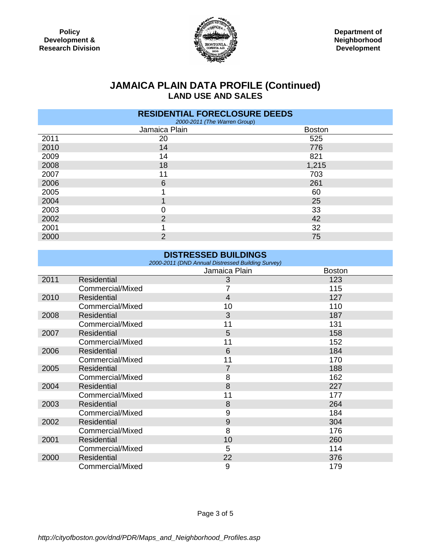

# **JAMAICA PLAIN DATA PROFILE (Continued) LAND USE AND SALES**

| <b>RESIDENTIAL FORECLOSURE DEEDS</b><br>2000-2011 (The Warren Group) |                |               |  |  |
|----------------------------------------------------------------------|----------------|---------------|--|--|
|                                                                      | Jamaica Plain  | <b>Boston</b> |  |  |
| 2011                                                                 | 20             | 525           |  |  |
| 2010                                                                 | 14             | 776           |  |  |
| 2009                                                                 | 14             | 821           |  |  |
| 2008                                                                 | 18             | 1,215         |  |  |
| 2007                                                                 | 11             | 703           |  |  |
| 2006                                                                 | 6              | 261           |  |  |
| 2005                                                                 |                | 60            |  |  |
| 2004                                                                 |                | 25            |  |  |
| 2003                                                                 | 0              | 33            |  |  |
| 2002                                                                 | $\overline{2}$ | 42            |  |  |
| 2001                                                                 |                | 32            |  |  |
| 2000                                                                 | $\overline{2}$ | 75            |  |  |

### **DISTRESSED BUILDINGS**  *2000-2011 (DND Annual Distressed Building Survey)* Jamaica Plain **Boston** 2011 Residential 3 123 Commercial/Mixed 7 115 2010 Residential 4 127 Commercial/Mixed 10 10 110 2008 Residential 2008 187 Commercial/Mixed 11 131 2007 Residential 5 158 Commercial/Mixed 11 152 2006 Residential 6 184 Commercial/Mixed 2005 Residential **7** 188 Commercial/Mixed 8 162 2004 Residential 8 227 Commercial/Mixed 11 177 2003 Residential 8 264 Commercial/Mixed 9 184<br>Residential 9 184 2002 Residential 9 304 Commercial/Mixed 8 176 2001 Residential 10 260 Commercial/Mixed 5 5 114 2000 Residential 22 376 Commercial/Mixed 9 179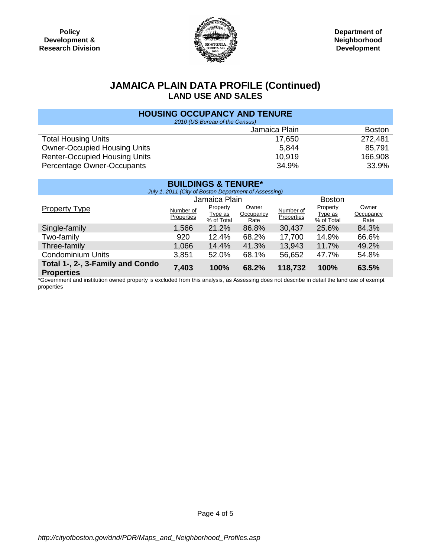

## **JAMAICA PLAIN DATA PROFILE (Continued) LAND USE AND SALES**

| <b>HOUSING OCCUPANCY AND TENURE</b>  |        |         |  |  |
|--------------------------------------|--------|---------|--|--|
| 2010 (US Bureau of the Census)       |        |         |  |  |
| Jamaica Plain<br><b>Boston</b>       |        |         |  |  |
| <b>Total Housing Units</b>           | 17,650 | 272,481 |  |  |
| <b>Owner-Occupied Housing Units</b>  | 5.844  | 85.791  |  |  |
| <b>Renter-Occupied Housing Units</b> | 10,919 | 166,908 |  |  |
| Percentage Owner-Occupants           | 34.9%  | 33.9%   |  |  |

| <b>BUILDINGS &amp; TENURE*</b><br>July 1, 2011 (City of Boston Department of Assessing) |                         |                                   |                                   |                         |                                   |                            |
|-----------------------------------------------------------------------------------------|-------------------------|-----------------------------------|-----------------------------------|-------------------------|-----------------------------------|----------------------------|
|                                                                                         | Jamaica Plain           |                                   |                                   | <b>Boston</b>           |                                   |                            |
| Property Type                                                                           | Number of<br>Properties | Property<br>Type as<br>% of Total | <b>Owner</b><br>Occupancy<br>Rate | Number of<br>Properties | Property<br>Type as<br>% of Total | Owner<br>Occupancy<br>Rate |
| Single-family                                                                           | 1,566                   | 21.2%                             | 86.8%                             | 30,437                  | 25.6%                             | 84.3%                      |
| Two-family                                                                              | 920                     | 12.4%                             | 68.2%                             | 17,700                  | 14.9%                             | 66.6%                      |
| Three-family                                                                            | 1,066                   | 14.4%                             | 41.3%                             | 13,943                  | 11.7%                             | 49.2%                      |
| <b>Condominium Units</b>                                                                | 3,851                   | 52.0%                             | 68.1%                             | 56,652                  | 47.7%                             | 54.8%                      |
| Total 1-, 2-, 3-Family and Condo<br><b>Properties</b>                                   | 7,403                   | 100%                              | 68.2%                             | 118,732                 | 100%                              | 63.5%                      |

\*Government and institution owned property is excluded from this analysis, as Assessing does not describe in detail the land use of exempt properties